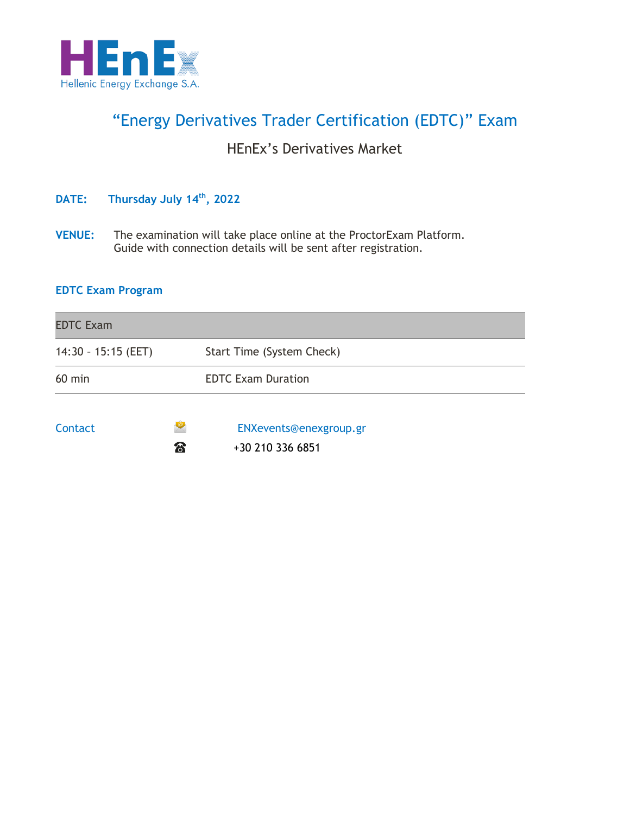

# "Energy Derivatives Trader Certification (EDTC)" Exam

## HEnEx's Derivatives Market

### **DATE: Thursday July 14th, 2022**

**VENUE:** The examination will take place online at the ProctorExam Platform. Guide with connection details will be sent after registration.

### **EDTC Exam Program**

| <b>EDTC</b> Exam    |                                 |                                            |  |
|---------------------|---------------------------------|--------------------------------------------|--|
| 14:30 - 15:15 (EET) |                                 | Start Time (System Check)                  |  |
| $60$ min            |                                 | <b>EDTC Exam Duration</b>                  |  |
| <b>Contact</b>      | $\boldsymbol{\widehat{\alpha}}$ | ENXevents@enexgroup.gr<br>+30 210 336 6851 |  |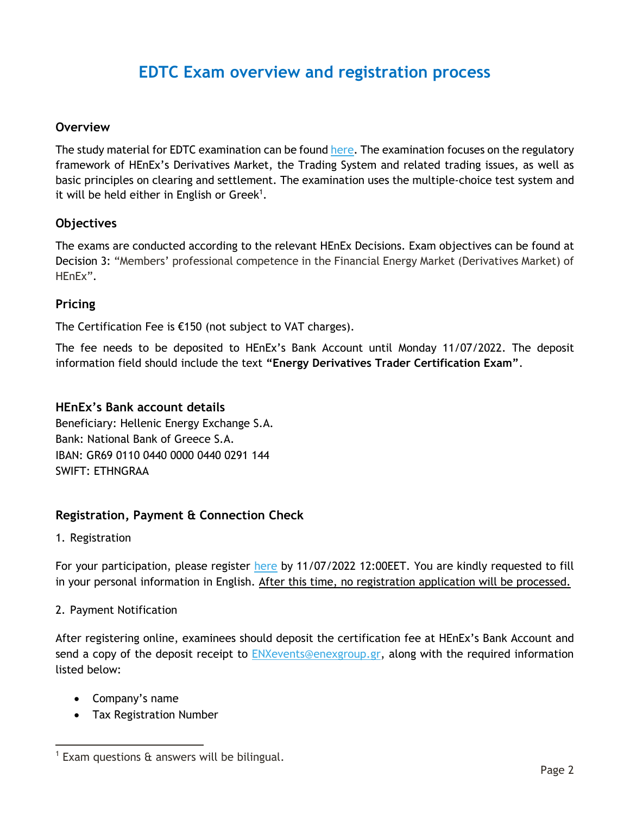## **EDTC Exam overview and registration process**

#### **Οverview**

The study material for EDTC examination can be foun[d here.](https://www.enexgroup.gr/web/guest/training) The examination focuses on the regulatory framework of HEnEx's Derivatives Market, the Trading System and related trading issues, as well as basic principles on clearing and settlement. The examination uses the multiple-choice test system and it will be held either in English or Greek<sup>1</sup>.

#### **Οbjectives**

The exams are conducted according to the relevant HEnEx Decisions. Exam objectives can be found at Decision 3: "Members' professional competence in the Financial Energy Market (Derivatives Market) of HEnEx".

#### **Pricing**

The Certification Fee is €150 (not subject to VAT charges).

The fee needs to be deposited to HEnEx's Bank Account until Monday 11/07/2022. The deposit information field should include the text **"Energy Derivatives Trader Certification Exam"**.

#### **HEnEx's Bank account details**

Beneficiary: Hellenic Energy Exchange S.A. Bank: National Bank of Greece S.A. IBAN: GR69 0110 0440 0000 0440 0291 144 SWIFT: ETHNGRAA

#### **Registration, Payment & Connection Check**

1. Registration

 $\overline{a}$ 

For your participation, please register [here](https://www.enexgroup.gr/web/guest/edtc-exams-registration-form) by 11/07/2022 12:00 EET. You are kindly requested to fill in your personal information in English. After this time, no registration application will be processed.

#### 2. Payment Notification

After registering online, examinees should deposit the certification fee at HEnEx's Bank Account and send a copy of the deposit receipt to [ENXevents@enexgroup.gr,](mailto:ENXevents@enexgroup.gr) along with the required information listed below:

- Company's name
- Tax Registration Number

<sup>1</sup> Exam questions & answers will be bilingual.